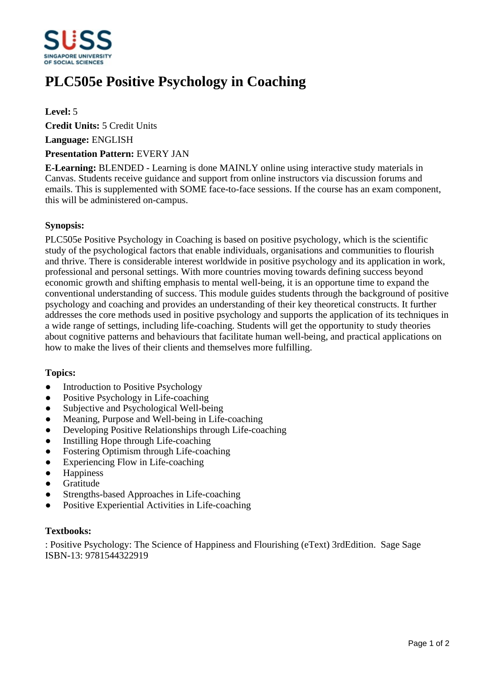

# **PLC505e Positive Psychology in Coaching**

# **Level:** 5

**Credit Units:** 5 Credit Units

**Language:** ENGLISH

## **Presentation Pattern:** EVERY JAN

**E-Learning:** BLENDED - Learning is done MAINLY online using interactive study materials in Canvas. Students receive guidance and support from online instructors via discussion forums and emails. This is supplemented with SOME face-to-face sessions. If the course has an exam component, this will be administered on-campus.

## **Synopsis:**

PLC505e Positive Psychology in Coaching is based on positive psychology, which is the scientific study of the psychological factors that enable individuals, organisations and communities to flourish and thrive. There is considerable interest worldwide in positive psychology and its application in work, professional and personal settings. With more countries moving towards defining success beyond economic growth and shifting emphasis to mental well-being, it is an opportune time to expand the conventional understanding of success. This module guides students through the background of positive psychology and coaching and provides an understanding of their key theoretical constructs. It further addresses the core methods used in positive psychology and supports the application of its techniques in a wide range of settings, including life-coaching. Students will get the opportunity to study theories about cognitive patterns and behaviours that facilitate human well-being, and practical applications on how to make the lives of their clients and themselves more fulfilling.

# **Topics:**

- Introduction to Positive Psychology
- Positive Psychology in Life-coaching
- Subjective and Psychological Well-being
- Meaning, Purpose and Well-being in Life-coaching
- Developing Positive Relationships through Life-coaching
- Instilling Hope through Life-coaching
- Fostering Optimism through Life-coaching
- Experiencing Flow in Life-coaching
- Happiness
- **•** Gratitude
- Strengths-based Approaches in Life-coaching
- Positive Experiential Activities in Life-coaching

#### **Textbooks:**

: Positive Psychology: The Science of Happiness and Flourishing (eText) 3rdEdition. Sage Sage ISBN-13: 9781544322919